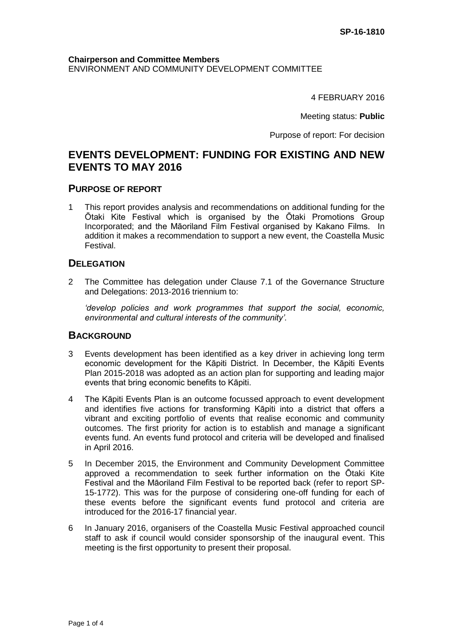#### **Chairperson and Committee Members** ENVIRONMENT AND COMMUNITY DEVELOPMENT COMMITTEE

4 FEBRUARY 2016

Meeting status: **Public**

Purpose of report: For decision

# **EVENTS DEVELOPMENT: FUNDING FOR EXISTING AND NEW EVENTS TO MAY 2016**

## **PURPOSE OF REPORT**

1 This report provides analysis and recommendations on additional funding for the Ōtaki Kite Festival which is organised by the Ōtaki Promotions Group Incorporated; and the Māoriland Film Festival organised by Kakano Films. In addition it makes a recommendation to support a new event, the Coastella Music Festival.

# **DELEGATION**

2 The Committee has delegation under Clause 7.1 of the Governance Structure and Delegations: 2013-2016 triennium to:

*'develop policies and work programmes that support the social, economic, environmental and cultural interests of the community'.*

# **BACKGROUND**

- 3 Events development has been identified as a key driver in achieving long term economic development for the Kāpiti District. In December, the Kāpiti Events Plan 2015-2018 was adopted as an action plan for supporting and leading major events that bring economic benefits to Kāpiti.
- 4 The Kāpiti Events Plan is an outcome focussed approach to event development and identifies five actions for transforming Kāpiti into a district that offers a vibrant and exciting portfolio of events that realise economic and community outcomes. The first priority for action is to establish and manage a significant events fund. An events fund protocol and criteria will be developed and finalised in April 2016.
- 5 In December 2015, the Environment and Community Development Committee approved a recommendation to seek further information on the Ōtaki Kite Festival and the Māoriland Film Festival to be reported back (refer to report SP-15-1772). This was for the purpose of considering one-off funding for each of these events before the significant events fund protocol and criteria are introduced for the 2016-17 financial year.
- 6 In January 2016, organisers of the Coastella Music Festival approached council staff to ask if council would consider sponsorship of the inaugural event. This meeting is the first opportunity to present their proposal.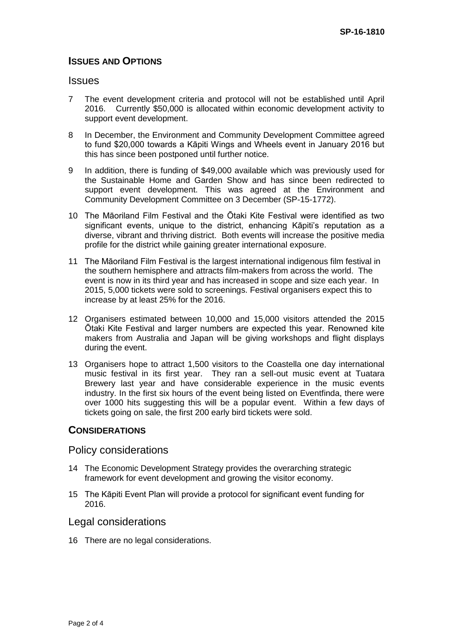# **ISSUES AND OPTIONS**

#### **Issues**

- 7 The event development criteria and protocol will not be established until April 2016. Currently \$50,000 is allocated within economic development activity to support event development.
- 8 In December, the Environment and Community Development Committee agreed to fund \$20,000 towards a Kāpiti Wings and Wheels event in January 2016 but this has since been postponed until further notice.
- 9 In addition, there is funding of \$49,000 available which was previously used for the Sustainable Home and Garden Show and has since been redirected to support event development. This was agreed at the Environment and Community Development Committee on 3 December (SP-15-1772).
- 10 The Māoriland Film Festival and the Ōtaki Kite Festival were identified as two significant events, unique to the district, enhancing Kāpiti's reputation as a diverse, vibrant and thriving district. Both events will increase the positive media profile for the district while gaining greater international exposure.
- 11 The Māoriland Film Festival is the largest international indigenous film festival in the southern hemisphere and attracts film-makers from across the world. The event is now in its third year and has increased in scope and size each year. In 2015, 5,000 tickets were sold to screenings. Festival organisers expect this to increase by at least 25% for the 2016.
- 12 Organisers estimated between 10,000 and 15,000 visitors attended the 2015 Ōtaki Kite Festival and larger numbers are expected this year. Renowned kite makers from Australia and Japan will be giving workshops and flight displays during the event.
- 13 Organisers hope to attract 1,500 visitors to the Coastella one day international music festival in its first year. They ran a sell-out music event at Tuatara Brewery last year and have considerable experience in the music events industry. In the first six hours of the event being listed on Eventfinda, there were over 1000 hits suggesting this will be a popular event. Within a few days of tickets going on sale, the first 200 early bird tickets were sold.

# **CONSIDERATIONS**

#### Policy considerations

- 14 The Economic Development Strategy provides the overarching strategic framework for event development and growing the visitor economy.
- 15 The Kāpiti Event Plan will provide a protocol for significant event funding for 2016.

## Legal considerations

16 There are no legal considerations.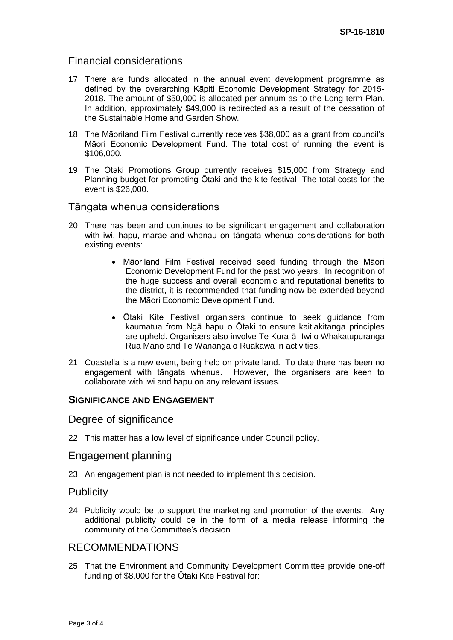# Financial considerations

- 17 There are funds allocated in the annual event development programme as defined by the overarching Kāpiti Economic Development Strategy for 2015- 2018. The amount of \$50,000 is allocated per annum as to the Long term Plan. In addition, approximately \$49,000 is redirected as a result of the cessation of the Sustainable Home and Garden Show.
- 18 The Māoriland Film Festival currently receives \$38,000 as a grant from council's Māori Economic Development Fund. The total cost of running the event is \$106,000.
- 19 The Ōtaki Promotions Group currently receives \$15,000 from Strategy and Planning budget for promoting Ōtaki and the kite festival. The total costs for the event is \$26,000.

## Tāngata whenua considerations

- 20 There has been and continues to be significant engagement and collaboration with iwi, hapu, marae and whanau on tāngata whenua considerations for both existing events:
	- Māoriland Film Festival received seed funding through the Māori Economic Development Fund for the past two years. In recognition of the huge success and overall economic and reputational benefits to the district, it is recommended that funding now be extended beyond the Māori Economic Development Fund.
	- Ōtaki Kite Festival organisers continue to seek guidance from kaumatua from Ngā hapu o Ōtaki to ensure kaitiakitanga principles are upheld. Organisers also involve Te Kura-ā- Iwi o Whakatupuranga Rua Mano and Te Wananga o Ruakawa in activities.
- 21 Coastella is a new event, being held on private land. To date there has been no engagement with tāngata whenua. However, the organisers are keen to collaborate with iwi and hapu on any relevant issues.

## **SIGNIFICANCE AND ENGAGEMENT**

#### Degree of significance

22 This matter has a low level of significance under Council policy.

## Engagement planning

23 An engagement plan is not needed to implement this decision.

#### **Publicity**

24 Publicity would be to support the marketing and promotion of the events. Any additional publicity could be in the form of a media release informing the community of the Committee's decision.

# RECOMMENDATIONS

25 That the Environment and Community Development Committee provide one-off funding of \$8,000 for the Ōtaki Kite Festival for: